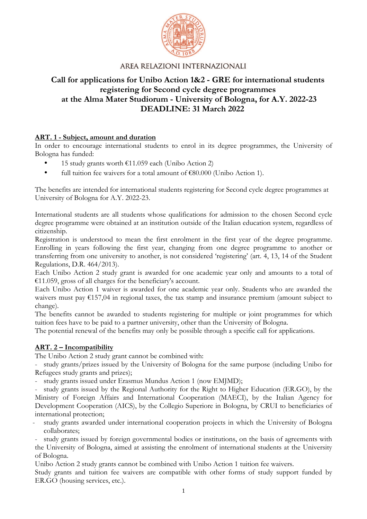

# **Call for applications for Unibo Action 1&2 - GRE for international students registering for Second cycle degree programmes at the Alma Mater Studiorum - University of Bologna, for A.Y. 2022-23 DEADLINE: 31 March 2022**

### **ART. 1 - Subject, amount and duration**

In order to encourage international students to enrol in its degree programmes, the University of Bologna has funded:

- 15 study grants worth €11.059 each (Unibo Action 2)
- full tuition fee waivers for a total amount of  $\epsilon$ 80.000 (Unibo Action 1).

The benefits are intended for international students registering for Second cycle degree programmes at University of Bologna for A.Y. 2022-23.

International students are all students whose qualifications for admission to the chosen Second cycle degree programme were obtained at an institution outside of the Italian education system, regardless of citizenship.

Registration is understood to mean the first enrolment in the first year of the degree programme. Enrolling in years following the first year, changing from one degree programme to another or transferring from one university to another, is not considered 'registering' (art. 4, 13, 14 of the Student Regulations, D.R. 464/2013).

Each Unibo Action 2 study grant is awarded for one academic year only and amounts to a total of €11.059, gross of all charges for the beneficiary's account.

Each Unibo Action 1 waiver is awarded for one academic year only. Students who are awarded the waivers must pay  $\epsilon$ 157,04 in regional taxes, the tax stamp and insurance premium (amount subject to change).

The benefits cannot be awarded to students registering for multiple or joint programmes for which tuition fees have to be paid to a partner university, other than the University of Bologna.

The potential renewal of the benefits may only be possible through a specific call for applications.

### **ART. 2 – Incompatibility**

The Unibo Action 2 study grant cannot be combined with:

- study grants/prizes issued by the University of Bologna for the same purpose (including Unibo for Refugees study grants and prizes);

- study grants issued under Erasmus Mundus Action 1 (now EMJMD);

study grants issued by the Regional Authority for the Right to Higher Education (ER.GO), by the Ministry of Foreign Affairs and International Cooperation (MAECI), by the Italian Agency for Development Cooperation (AICS), by the Collegio Superiore in Bologna, by CRUI to beneficiaries of international protection;

study grants awarded under international cooperation projects in which the University of Bologna collaborates;

study grants issued by foreign governmental bodies or institutions, on the basis of agreements with the University of Bologna, aimed at assisting the enrolment of international students at the University of Bologna.

Unibo Action 2 study grants cannot be combined with Unibo Action 1 tuition fee waivers.

Study grants and tuition fee waivers are compatible with other forms of study support funded by ER.GO (housing services, etc.).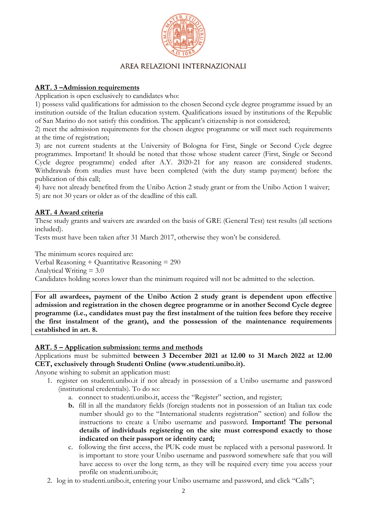

### **ART. 3 –Admission requirements**

Application is open exclusively to candidates who:

1) possess valid qualifications for admission to the chosen Second cycle degree programme issued by an institution outside of the Italian education system. Qualifications issued by institutions of the Republic of San Marino do not satisfy this condition. The applicant's citizenship is not considered;

2) meet the admission requirements for the chosen degree programme or will meet such requirements at the time of registration;

3) are not current students at the University of Bologna for First, Single or Second Cycle degree programmes. Important! It should be noted that those whose student career (First, Single or Second Cycle degree programme) ended after A.Y. 2020-21 for any reason are considered students. Withdrawals from studies must have been completed (with the duty stamp payment) before the publication of this call;

4) have not already benefited from the Unibo Action 2 study grant or from the Unibo Action 1 waiver; 5) are not 30 years or older as of the deadline of this call.

### **ART. 4 Award criteria**

These study grants and waivers are awarded on the basis of GRE (General Test) test results (all sections included).

Tests must have been taken after 31 March 2017, otherwise they won't be considered.

The minimum scores required are: Verbal Reasoning + Quantitative Reasoning = 290 Analytical Writing  $= 3.0$ Candidates holding scores lower than the minimum required will not be admitted to the selection.

**For all awardees, payment of the Unibo Action 2 study grant is dependent upon effective admission and registration in the chosen degree programme or in another Second Cycle degree programme (i.e., candidates must pay the first instalment of the tuition fees before they receive the first instalment of the grant), and the possession of the maintenance requirements established in art. 8.** 

#### **ART. 5 – Application submission: terms and methods**

Applications must be submitted **between 3 December 2021 at 12.00 to 31 March 2022 at 12.00 CET, exclusively through Studenti Online (www.studenti.unibo.it).** 

Anyone wishing to submit an application must:

- 1. register on studenti.unibo.it if not already in possession of a Unibo username and password (institutional credentials). To do so:
	- a. connect to studenti.unibo.it, access the "Register" section, and register;
	- **b.** fill in all the mandatory fields (foreign students not in possession of an Italian tax code number should go to the "International students registration" section) and follow the instructions to create a Unibo username and password. **Important! The personal details of individuals registering on the site must correspond exactly to those indicated on their passport or identity card;**
	- c. following the first access, the PUK code must be replaced with a personal password. It is important to store your Unibo username and password somewhere safe that you will have access to over the long term, as they will be required every time you access your profile on studenti.unibo.it;
- 2. log in to studenti.unibo.it, entering your Unibo username and password, and click "Calls";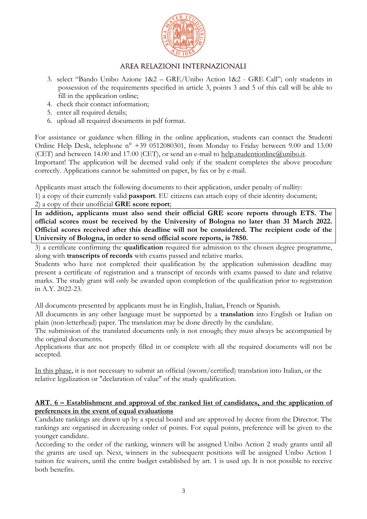

- 3. select "Bando Unibo Azione 1&2 GRE/Unibo Action 1&2 GRE Call"; only students in possession of the requirements specified in article 3, points 3 and 5 of this call will be able to fill in the application online;
- 4. check their contact information;
- 5. enter all required details;
- 6. upload all required documents in pdf format.

For assistance or guidance when filling in the online application, students can contact the Studenti Online Help Desk, telephone n° +39 0512080301, from Monday to Friday between 9.00 and 13.00 (CET) and between 14.00 and 17.00 (CET), or send an e-mail to help.studentionline@unibo.it.

Important! The application will be deemed valid only if the student completes the above procedure correctly. Applications cannot be submitted on paper, by fax or by e-mail.

Applicants must attach the following documents to their application, under penalty of nullity:

1) a copy of their currently valid **passport**. EU citizens can attach copy of their identity document;

#### 2) a copy of their unofficial **GRE score report**;

**In addition, applicants must also send their official GRE score reports through ETS. The official scores must be received by the University of Bologna no later than 31 March 2022. Official scores received after this deadline will not be considered. The recipient code of the University of Bologna, in order to send official score reports, is 7850.** 

3) a certificate confirming the **qualification** required for admission to the chosen degree programme, along with **transcripts of records** with exams passed and relative marks.

Students who have not completed their qualification by the application submission deadline may present a certificate of registration and a transcript of records with exams passed to date and relative marks. The study grant will only be awarded upon completion of the qualification prior to registration in A.Y. 2022-23.

All documents presented by applicants must be in English, Italian, French or Spanish.

All documents in any other language must be supported by a **translation** into English or Italian on plain (non-letterhead) paper. The translation may be done directly by the candidate.

The submission of the translated documents only is not enough; they must always be accompanied by the original documents.

Applications that are not properly filled in or complete with all the required documents will not be accepted.

In this phase, it is not necessary to submit an official (sworn/certified) translation into Italian, or the relative legalization or "declaration of value" of the study qualification.

#### **ART. 6 – Establishment and approval of the ranked list of candidates, and the application of preferences in the event of equal evaluations**

Candidate rankings are drawn up by a special board and are approved by decree from the Director. The rankings are organised in decreasing order of points. For equal points, preference will be given to the younger candidate.

According to the order of the ranking, winners will be assigned Unibo Action 2 study grants until all the grants are used up. Next, winners in the subsequent positions will be assigned Unibo Action 1 tuition fee waivers, until the entire budget established by art. 1 is used up. It is not possible to receive both benefits.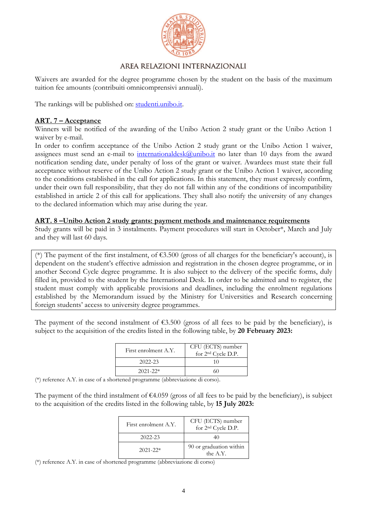

Waivers are awarded for the degree programme chosen by the student on the basis of the maximum tuition fee amounts (contribuiti omnicomprensivi annuali).

The rankings will be published on: studenti.unibo.it.

### **ART. 7 – Acceptance**

Winners will be notified of the awarding of the Unibo Action 2 study grant or the Unibo Action 1 waiver by e-mail.

In order to confirm acceptance of the Unibo Action 2 study grant or the Unibo Action 1 waiver, assignees must send an e-mail to international desk  $@$  unibo.it no later than 10 days from the award notification sending date, under penalty of loss of the grant or waiver. Awardees must state their full acceptance without reserve of the Unibo Action 2 study grant or the Unibo Action 1 waiver, according to the conditions established in the call for applications. In this statement, they must expressly confirm, under their own full responsibility, that they do not fall within any of the conditions of incompatibility established in article 2 of this call for applications. They shall also notify the university of any changes to the declared information which may arise during the year.

#### **ART. 8 –Unibo Action 2 study grants: payment methods and maintenance requirements**

Study grants will be paid in 3 instalments. Payment procedures will start in October\*, March and July and they will last 60 days.

(\*) The payment of the first instalment, of  $63.500$  (gross of all charges for the beneficiary's account), is dependent on the student's effective admission and registration in the chosen degree programme, or in another Second Cycle degree programme. It is also subject to the delivery of the specific forms, duly filled in, provided to the student by the International Desk. In order to be admitted and to register, the student must comply with applicable provisions and deadlines, including the enrolment regulations established by the Memorandum issued by the Ministry for Universities and Research concerning foreign students' access to university degree programmes.

The payment of the second instalment of  $\epsilon$ 3.500 (gross of all fees to be paid by the beneficiary), is subject to the acquisition of the credits listed in the following table, by **20 February 2023:**

| First enrolment A.Y. | CFU (ECTS) number<br>for 2 <sup>nd</sup> Cycle D.P. |
|----------------------|-----------------------------------------------------|
| $2022 - 23$          | 10                                                  |
| $2021 - 22*$         | 60                                                  |

(\*) reference A.Y. in case of a shortened programme (abbreviazione di corso).

The payment of the third instalment of  $\epsilon$ 4.059 (gross of all fees to be paid by the beneficiary), is subject to the acquisition of the credits listed in the following table, by **15 July 2023:** 

| First enrolment A.Y. | CFU (ECTS) number<br>for 2 <sup>nd</sup> Cycle D.P. |
|----------------------|-----------------------------------------------------|
| $2022 - 23$          | 40                                                  |
| $2021 - 22*$         | 90 or graduation within<br>the A.Y.                 |

(\*) reference A.Y. in case of shortened programme (abbreviazione di corso)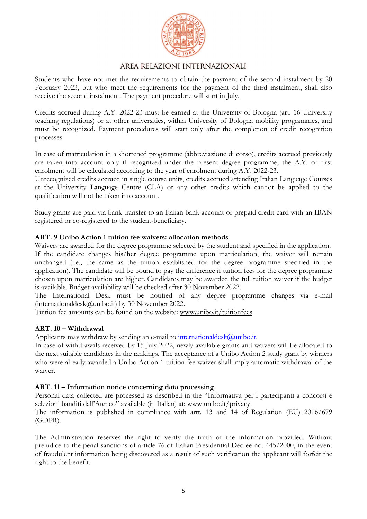

Students who have not met the requirements to obtain the payment of the second instalment by 20 February 2023, but who meet the requirements for the payment of the third instalment, shall also receive the second instalment. The payment procedure will start in July.

Credits accrued during A.Y. 2022-23 must be earned at the University of Bologna (art. 16 University teaching regulations) or at other universities, within University of Bologna mobility programmes, and must be recognized. Payment procedures will start only after the completion of credit recognition processes.

In case of matriculation in a shortened programme (abbreviazione di corso), credits accrued previously are taken into account only if recognized under the present degree programme; the A.Y. of first enrolment will be calculated according to the year of enrolment during A.Y. 2022-23.

Unrecognized credits accrued in single course units, credits accrued attending Italian Language Courses at the University Language Centre (CLA) or any other credits which cannot be applied to the qualification will not be taken into account.

Study grants are paid via bank transfer to an Italian bank account or prepaid credit card with an IBAN registered or co-registered to the student-beneficiary.

### **ART. 9 Unibo Action 1 tuition fee waivers: allocation methods**

Waivers are awarded for the degree programme selected by the student and specified in the application. If the candidate changes his/her degree programme upon matriculation, the waiver will remain unchanged (i.e., the same as the tuition established for the degree programme specified in the application). The candidate will be bound to pay the difference if tuition fees for the degree programme chosen upon matriculation are higher. Candidates may be awarded the full tuition waiver if the budget is available. Budget availability will be checked after 30 November 2022.

The International Desk must be notified of any degree programme changes via e-mail (internationaldesk@unibo.it) by 30 November 2022.

Tuition fee amounts can be found on the website: www.unibo.it/tuitionfees

### **ART. 10 – Withdrawal**

Applicants may withdraw by sending an e-mail to international desk@unibo.it.

In case of withdrawals received by 15 July 2022, newly-available grants and waivers will be allocated to the next suitable candidates in the rankings. The acceptance of a Unibo Action 2 study grant by winners who were already awarded a Unibo Action 1 tuition fee waiver shall imply automatic withdrawal of the waiver.

#### **ART. 11 – Information notice concerning data processing**

Personal data collected are processed as described in the "Informativa per i partecipanti a concorsi e selezioni banditi dall'Ateneo" available (in Italian) at: www.unibo.it/privacy

The information is published in compliance with artt. 13 and 14 of Regulation (EU) 2016/679 (GDPR).

The Administration reserves the right to verify the truth of the information provided. Without prejudice to the penal sanctions of article 76 of Italian Presidential Decree no. 445/2000, in the event of fraudulent information being discovered as a result of such verification the applicant will forfeit the right to the benefit.